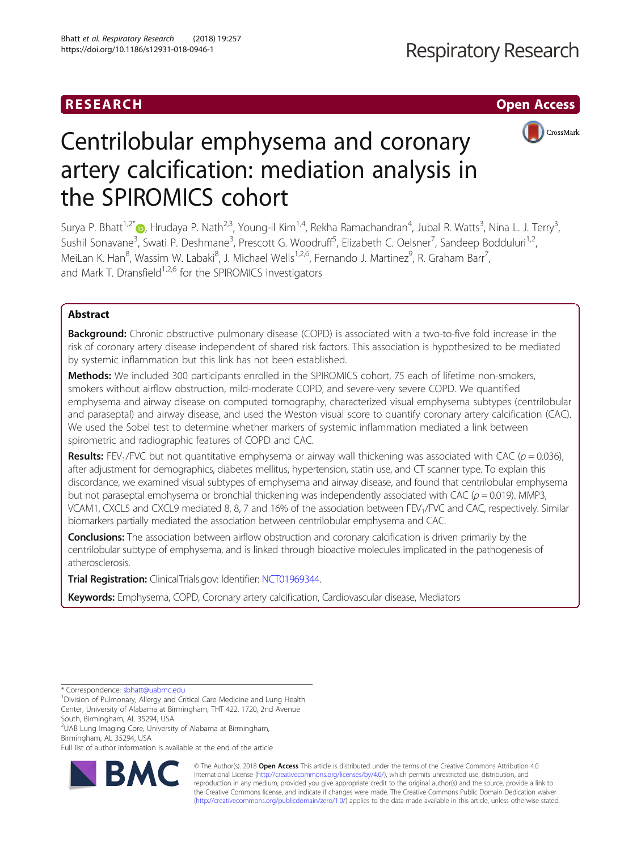## RESEARCH **RESEARCH CHOOSE ACCESS**



# Centrilobular emphysema and coronary artery calcification: mediation analysis in the SPIROMICS cohort

Surya P. Bhatt<sup>1[,](http://orcid.org/0000-0002-8418-4497)2\*</sup>�, Hrudaya P. Nath<sup>2,3</sup>, Young-il Kim<sup>1,4</sup>, Rekha Ramachandran<sup>4</sup>, Jubal R. Watts<sup>3</sup>, Nina L. J. Terry<sup>3</sup> , Sushil Sonavane<sup>3</sup>, Swati P. Deshmane<sup>3</sup>, Prescott G. Woodruff<sup>5</sup>, Elizabeth C. Oelsner<sup>7</sup>, Sandeep Bodduluri<sup>1,2</sup>, MeiLan K. Han<sup>8</sup>, Wassim W. Labaki<sup>8</sup>, J. Michael Wells<sup>1,2,6</sup>, Fernando J. Martinez<sup>9</sup>, R. Graham Barr<sup>7</sup> , and Mark T. Dransfield<sup>1,2,6</sup> for the SPIROMICS investigators

## Abstract

Background: Chronic obstructive pulmonary disease (COPD) is associated with a two-to-five fold increase in the risk of coronary artery disease independent of shared risk factors. This association is hypothesized to be mediated by systemic inflammation but this link has not been established.

Methods: We included 300 participants enrolled in the SPIROMICS cohort, 75 each of lifetime non-smokers, smokers without airflow obstruction, mild-moderate COPD, and severe-very severe COPD. We quantified emphysema and airway disease on computed tomography, characterized visual emphysema subtypes (centrilobular and paraseptal) and airway disease, and used the Weston visual score to quantify coronary artery calcification (CAC). We used the Sobel test to determine whether markers of systemic inflammation mediated a link between spirometric and radiographic features of COPD and CAC.

**Results:** FEV<sub>1</sub>/FVC but not quantitative emphysema or airway wall thickening was associated with CAC ( $p = 0.036$ ), after adjustment for demographics, diabetes mellitus, hypertension, statin use, and CT scanner type. To explain this discordance, we examined visual subtypes of emphysema and airway disease, and found that centrilobular emphysema but not paraseptal emphysema or bronchial thickening was independently associated with CAC ( $p = 0.019$ ). MMP3, VCAM1, CXCL5 and CXCL9 mediated 8, 8, 7 and 16% of the association between FEV<sub>1</sub>/FVC and CAC, respectively. Similar biomarkers partially mediated the association between centrilobular emphysema and CAC.

**Conclusions:** The association between airflow obstruction and coronary calcification is driven primarily by the centrilobular subtype of emphysema, and is linked through bioactive molecules implicated in the pathogenesis of atherosclerosis.

Trial Registration: ClinicalTrials.gov: Identifier: [NCT01969344.](https://clinicaltrials.gov/ct2/show/NCT01969344)

Keywords: Emphysema, COPD, Coronary artery calcification, Cardiovascular disease, Mediators

\* Correspondence: [sbhatt@uabmc.edu](mailto:sbhatt@uabmc.edu) <sup>1</sup>

<sup>1</sup> Division of Pulmonary, Allergy and Critical Care Medicine and Lung Health Center, University of Alabama at Birmingham, THT 422, 1720, 2nd Avenue

South, Birmingham, AL 35294, USA

2 UAB Lung Imaging Core, University of Alabama at Birmingham, Birmingham, AL 35294, USA

Full list of author information is available at the end of the article



© The Author(s). 2018 Open Access This article is distributed under the terms of the Creative Commons Attribution 4.0 International License [\(http://creativecommons.org/licenses/by/4.0/](http://creativecommons.org/licenses/by/4.0/)), which permits unrestricted use, distribution, and reproduction in any medium, provided you give appropriate credit to the original author(s) and the source, provide a link to the Creative Commons license, and indicate if changes were made. The Creative Commons Public Domain Dedication waiver [\(http://creativecommons.org/publicdomain/zero/1.0/](http://creativecommons.org/publicdomain/zero/1.0/)) applies to the data made available in this article, unless otherwise stated.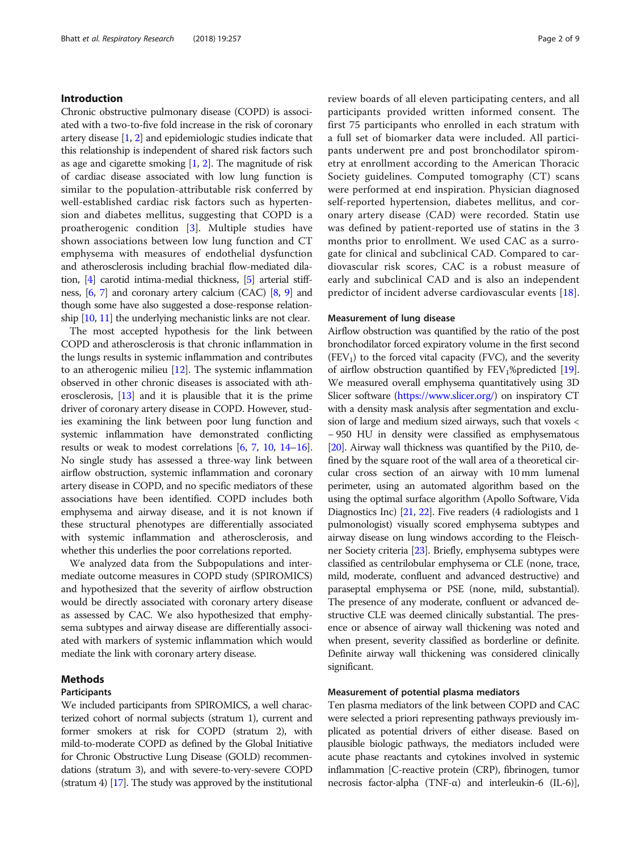## Introduction

Chronic obstructive pulmonary disease (COPD) is associated with a two-to-five fold increase in the risk of coronary artery disease [[1,](#page-7-0) [2](#page-7-0)] and epidemiologic studies indicate that this relationship is independent of shared risk factors such as age and cigarette smoking  $[1, 2]$  $[1, 2]$  $[1, 2]$ . The magnitude of risk of cardiac disease associated with low lung function is similar to the population-attributable risk conferred by well-established cardiac risk factors such as hypertension and diabetes mellitus, suggesting that COPD is a proatherogenic condition [\[3](#page-7-0)]. Multiple studies have shown associations between low lung function and CT emphysema with measures of endothelial dysfunction and atherosclerosis including brachial flow-mediated dilation, [\[4](#page-7-0)] carotid intima-medial thickness, [\[5\]](#page-7-0) arterial stiffness, [\[6,](#page-7-0) [7](#page-7-0)] and coronary artery calcium (CAC) [\[8,](#page-7-0) [9](#page-7-0)] and though some have also suggested a dose-response relationship [\[10,](#page-7-0) [11\]](#page-7-0) the underlying mechanistic links are not clear.

The most accepted hypothesis for the link between COPD and atherosclerosis is that chronic inflammation in the lungs results in systemic inflammation and contributes to an atherogenic milieu [\[12\]](#page-7-0). The systemic inflammation observed in other chronic diseases is associated with atherosclerosis, [[13](#page-7-0)] and it is plausible that it is the prime driver of coronary artery disease in COPD. However, studies examining the link between poor lung function and systemic inflammation have demonstrated conflicting results or weak to modest correlations [\[6,](#page-7-0) [7,](#page-7-0) [10](#page-7-0), [14](#page-7-0)–[16](#page-7-0)]. No single study has assessed a three-way link between airflow obstruction, systemic inflammation and coronary artery disease in COPD, and no specific mediators of these associations have been identified. COPD includes both emphysema and airway disease, and it is not known if these structural phenotypes are differentially associated with systemic inflammation and atherosclerosis, and whether this underlies the poor correlations reported.

We analyzed data from the Subpopulations and intermediate outcome measures in COPD study (SPIROMICS) and hypothesized that the severity of airflow obstruction would be directly associated with coronary artery disease as assessed by CAC. We also hypothesized that emphysema subtypes and airway disease are differentially associated with markers of systemic inflammation which would mediate the link with coronary artery disease.

## Methods

## Participants

We included participants from SPIROMICS, a well characterized cohort of normal subjects (stratum 1), current and former smokers at risk for COPD (stratum 2), with mild-to-moderate COPD as defined by the Global Initiative for Chronic Obstructive Lung Disease (GOLD) recommendations (stratum 3), and with severe-to-very-severe COPD (stratum 4) [\[17](#page-7-0)]. The study was approved by the institutional review boards of all eleven participating centers, and all participants provided written informed consent. The first 75 participants who enrolled in each stratum with a full set of biomarker data were included. All participants underwent pre and post bronchodilator spirometry at enrollment according to the American Thoracic Society guidelines. Computed tomography (CT) scans were performed at end inspiration. Physician diagnosed self-reported hypertension, diabetes mellitus, and coronary artery disease (CAD) were recorded. Statin use was defined by patient-reported use of statins in the 3 months prior to enrollment. We used CAC as a surrogate for clinical and subclinical CAD. Compared to cardiovascular risk scores, CAC is a robust measure of early and subclinical CAD and is also an independent predictor of incident adverse cardiovascular events [\[18](#page-7-0)].

#### Measurement of lung disease

Airflow obstruction was quantified by the ratio of the post bronchodilator forced expiratory volume in the first second  $(FEV<sub>1</sub>)$  to the forced vital capacity (FVC), and the severity of airflow obstruction quantified by  $FEV_1\%$  predicted [\[19](#page-7-0)]. We measured overall emphysema quantitatively using 3D Slicer software [\(https://www.slicer.org/](https://www.slicer.org/)) on inspiratory CT with a density mask analysis after segmentation and exclusion of large and medium sized airways, such that voxels < − 950 HU in density were classified as emphysematous [[20](#page-7-0)]. Airway wall thickness was quantified by the Pi10, defined by the square root of the wall area of a theoretical circular cross section of an airway with 10 mm lumenal perimeter, using an automated algorithm based on the using the optimal surface algorithm (Apollo Software, Vida Diagnostics Inc) [[21](#page-7-0), [22\]](#page-7-0). Five readers (4 radiologists and 1 pulmonologist) visually scored emphysema subtypes and airway disease on lung windows according to the Fleischner Society criteria [\[23\]](#page-7-0). Briefly, emphysema subtypes were classified as centrilobular emphysema or CLE (none, trace, mild, moderate, confluent and advanced destructive) and paraseptal emphysema or PSE (none, mild, substantial). The presence of any moderate, confluent or advanced destructive CLE was deemed clinically substantial. The presence or absence of airway wall thickening was noted and when present, severity classified as borderline or definite. Definite airway wall thickening was considered clinically significant.

#### Measurement of potential plasma mediators

Ten plasma mediators of the link between COPD and CAC were selected a priori representing pathways previously implicated as potential drivers of either disease. Based on plausible biologic pathways, the mediators included were acute phase reactants and cytokines involved in systemic inflammation [C-reactive protein (CRP), fibrinogen, tumor necrosis factor-alpha (TNF-α) and interleukin-6 (IL-6)],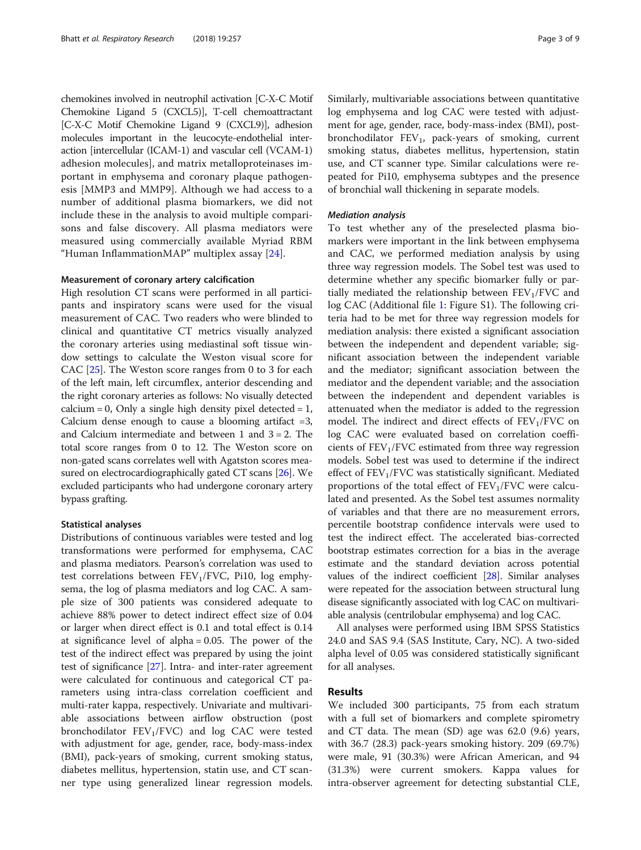chemokines involved in neutrophil activation [C-X-C Motif Chemokine Ligand 5 (CXCL5)], T-cell chemoattractant [C-X-C Motif Chemokine Ligand 9 (CXCL9)], adhesion molecules important in the leucocyte-endothelial interaction [intercellular (ICAM-1) and vascular cell (VCAM-1) adhesion molecules], and matrix metalloproteinases important in emphysema and coronary plaque pathogenesis [MMP3 and MMP9]. Although we had access to a number of additional plasma biomarkers, we did not include these in the analysis to avoid multiple comparisons and false discovery. All plasma mediators were measured using commercially available Myriad RBM "Human InflammationMAP" multiplex assay [[24\]](#page-7-0).

#### Measurement of coronary artery calcification

High resolution CT scans were performed in all participants and inspiratory scans were used for the visual measurement of CAC. Two readers who were blinded to clinical and quantitative CT metrics visually analyzed the coronary arteries using mediastinal soft tissue window settings to calculate the Weston visual score for CAC [\[25\]](#page-7-0). The Weston score ranges from 0 to 3 for each of the left main, left circumflex, anterior descending and the right coronary arteries as follows: No visually detected calcium = 0, Only a single high density pixel detected =  $1$ , Calcium dense enough to cause a blooming artifact  $=3$ , and Calcium intermediate and between 1 and 3 = 2. The total score ranges from 0 to 12. The Weston score on non-gated scans correlates well with Agatston scores measured on electrocardiographically gated CT scans [[26](#page-7-0)]. We excluded participants who had undergone coronary artery bypass grafting.

#### Statistical analyses

Distributions of continuous variables were tested and log transformations were performed for emphysema, CAC and plasma mediators. Pearson's correlation was used to test correlations between  $FEV<sub>1</sub>/FVC$ , Pi10, log emphysema, the log of plasma mediators and log CAC. A sample size of 300 patients was considered adequate to achieve 88% power to detect indirect effect size of 0.04 or larger when direct effect is 0.1 and total effect is 0.14 at significance level of alpha = 0.05. The power of the test of the indirect effect was prepared by using the joint test of significance [\[27](#page-7-0)]. Intra- and inter-rater agreement were calculated for continuous and categorical CT parameters using intra-class correlation coefficient and multi-rater kappa, respectively. Univariate and multivariable associations between airflow obstruction (post bronchodilator  $FEV_1/FVC$ ) and log CAC were tested with adjustment for age, gender, race, body-mass-index (BMI), pack-years of smoking, current smoking status, diabetes mellitus, hypertension, statin use, and CT scanner type using generalized linear regression models. Similarly, multivariable associations between quantitative log emphysema and log CAC were tested with adjustment for age, gender, race, body-mass-index (BMI), postbronchodilator  $FEV_1$ , pack-years of smoking, current smoking status, diabetes mellitus, hypertension, statin use, and CT scanner type. Similar calculations were repeated for Pi10, emphysema subtypes and the presence of bronchial wall thickening in separate models.

## Mediation analysis

To test whether any of the preselected plasma biomarkers were important in the link between emphysema and CAC, we performed mediation analysis by using three way regression models. The Sobel test was used to determine whether any specific biomarker fully or partially mediated the relationship between  $FEV<sub>1</sub>/FVC$  and log CAC (Additional file [1:](#page-6-0) Figure S1). The following criteria had to be met for three way regression models for mediation analysis: there existed a significant association between the independent and dependent variable; significant association between the independent variable and the mediator; significant association between the mediator and the dependent variable; and the association between the independent and dependent variables is attenuated when the mediator is added to the regression model. The indirect and direct effects of  $FEV<sub>1</sub>/FVC$  on log CAC were evaluated based on correlation coefficients of  $FEV<sub>1</sub>/FVC$  estimated from three way regression models. Sobel test was used to determine if the indirect effect of  $FEV<sub>1</sub>/FVC$  was statistically significant. Mediated proportions of the total effect of  $FEV<sub>1</sub>/FVC$  were calculated and presented. As the Sobel test assumes normality of variables and that there are no measurement errors, percentile bootstrap confidence intervals were used to test the indirect effect. The accelerated bias-corrected bootstrap estimates correction for a bias in the average estimate and the standard deviation across potential values of the indirect coefficient [\[28\]](#page-8-0). Similar analyses were repeated for the association between structural lung disease significantly associated with log CAC on multivariable analysis (centrilobular emphysema) and log CAC.

All analyses were performed using IBM SPSS Statistics 24.0 and SAS 9.4 (SAS Institute, Cary, NC). A two-sided alpha level of 0.05 was considered statistically significant for all analyses.

## Results

We included 300 participants, 75 from each stratum with a full set of biomarkers and complete spirometry and CT data. The mean (SD) age was 62.0 (9.6) years, with 36.7 (28.3) pack-years smoking history. 209 (69.7%) were male, 91 (30.3%) were African American, and 94 (31.3%) were current smokers. Kappa values for intra-observer agreement for detecting substantial CLE,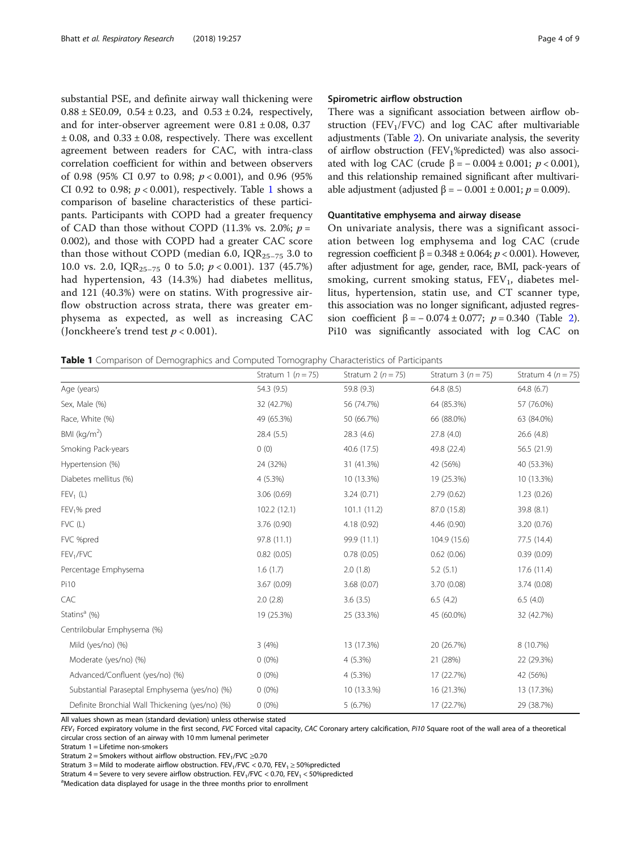substantial PSE, and definite airway wall thickening were  $0.88 \pm$  SE0.09,  $0.54 \pm 0.23$ , and  $0.53 \pm 0.24$ , respectively, and for inter-observer agreement were  $0.81 \pm 0.08$ , 0.37  $\pm$  0.08, and 0.33  $\pm$  0.08, respectively. There was excellent agreement between readers for CAC, with intra-class correlation coefficient for within and between observers of 0.98 (95% CI 0.97 to 0.98;  $p < 0.001$ ), and 0.96 (95% CI 0.92 to 0.98;  $p < 0.001$ ), respectively. Table 1 shows a comparison of baseline characteristics of these participants. Participants with COPD had a greater frequency of CAD than those without COPD (11.3% vs. 2.0%;  $p =$ 0.002), and those with COPD had a greater CAC score than those without COPD (median 6.0,  $IQR_{25-75}$  3.0 to 10.0 vs. 2.0,  $IQR_{25-75}$  0 to 5.0;  $p < 0.001$ ). 137 (45.7%) had hypertension, 43 (14.3%) had diabetes mellitus, and 121 (40.3%) were on statins. With progressive airflow obstruction across strata, there was greater emphysema as expected, as well as increasing CAC (Jonckheere's trend test  $p < 0.001$ ).

## Spirometric airflow obstruction

There was a significant association between airflow obstruction (FEV<sub>1</sub>/FVC) and log CAC after multivariable adjustments (Table [2](#page-4-0)). On univariate analysis, the severity of airflow obstruction (FEV<sub>1</sub>%predicted) was also associated with log CAC (crude  $β = -0.004 ± 0.001$ ;  $p < 0.001$ ), and this relationship remained significant after multivariable adjustment (adjusted  $β = -0.001 ± 0.001; p = 0.009$ ).

## Quantitative emphysema and airway disease

On univariate analysis, there was a significant association between log emphysema and log CAC (crude regression coefficient  $β = 0.348 ± 0.064; p < 0.001$ ). However, after adjustment for age, gender, race, BMI, pack-years of smoking, current smoking status,  $FEV<sub>1</sub>$ , diabetes mellitus, hypertension, statin use, and CT scanner type, this association was no longer significant, adjusted regression coefficient β =  $-0.074 \pm 0.077$ ; p = 0.340 (Table [2](#page-4-0)). Pi10 was significantly associated with log CAC on

|  |  | Table 1 Comparison of Demographics and Computed Tomography Characteristics of Participants |  |  |  |  |
|--|--|--------------------------------------------------------------------------------------------|--|--|--|--|
|--|--|--------------------------------------------------------------------------------------------|--|--|--|--|

|                                                 | Stratum 1 ( $n = 75$ ) | Stratum 2 ( $n = 75$ ) | Stratum $3(n = 75)$ | Stratum 4 ( $n = 75$ ) |
|-------------------------------------------------|------------------------|------------------------|---------------------|------------------------|
| Age (years)                                     | 54.3 (9.5)             | 59.8 (9.3)             | 64.8 (8.5)          | 64.8(6.7)              |
| Sex, Male (%)                                   | 32 (42.7%)             | 56 (74.7%)             | 64 (85.3%)          | 57 (76.0%)             |
| Race, White (%)                                 | 49 (65.3%)             | 50 (66.7%)             | 66 (88.0%)          | 63 (84.0%)             |
| BMI ( $kg/m2$ )                                 | 28.4 (5.5)             | 28.3(4.6)              | 27.8(4.0)           | 26.6(4.8)              |
| Smoking Pack-years                              | 0(0)                   | 40.6 (17.5)            | 49.8 (22.4)         | 56.5 (21.9)            |
| Hypertension (%)                                | 24 (32%)               | 31 (41.3%)             | 42 (56%)            | 40 (53.3%)             |
| Diabetes mellitus (%)                           | 4 (5.3%)               | 10 (13.3%)             | 19 (25.3%)          | 10 (13.3%)             |
| $FEV_1(L)$                                      | 3.06(0.69)             | 3.24(0.71)             | 2.79(0.62)          | 1.23(0.26)             |
| FEV <sub>1</sub> % pred                         | 102.2 (12.1)           | 101.1(11.2)            | 87.0 (15.8)         | 39.8 (8.1)             |
| $FVC$ (L)                                       | 3.76 (0.90)            | 4.18 (0.92)            | 4.46 (0.90)         | 3.20(0.76)             |
| FVC %pred                                       | 97.8 (11.1)            | 99.9 (11.1)            | 104.9 (15.6)        | 77.5 (14.4)            |
| FEV <sub>1</sub> /FVC                           | 0.82(0.05)             | 0.78(0.05)             | 0.62(0.06)          | 0.39(0.09)             |
| Percentage Emphysema                            | 1.6(1.7)               | 2.0(1.8)               | 5.2(5.1)            | 17.6 (11.4)            |
| Pi10                                            | 3.67 (0.09)            | 3.68(0.07)             | 3.70 (0.08)         | 3.74(0.08)             |
| CAC                                             | 2.0(2.8)               | 3.6(3.5)               | 6.5(4.2)            | 6.5(4.0)               |
| Statins <sup>a</sup> (%)                        | 19 (25.3%)             | 25 (33.3%)             | 45 (60.0%)          | 32 (42.7%)             |
| Centrilobular Emphysema (%)                     |                        |                        |                     |                        |
| Mild (yes/no) (%)                               | 3(4%)                  | 13 (17.3%)             | 20 (26.7%)          | 8 (10.7%)              |
| Moderate (yes/no) (%)                           | $0(0\%)$               | $4(5.3\%)$             | 21 (28%)            | 22 (29.3%)             |
| Advanced/Confluent (yes/no) (%)                 | $0(0\%)$               | $4(5.3\%)$             | 17 (22.7%)          | 42 (56%)               |
| Substantial Paraseptal Emphysema (yes/no) (%)   | $0(0\%)$               | 10 (13.3.%)            | 16 (21.3%)          | 13 (17.3%)             |
| Definite Bronchial Wall Thickening (yes/no) (%) | $0(0\%)$               | 5(6.7%)                | 17 (22.7%)          | 29 (38.7%)             |

All values shown as mean (standard deviation) unless otherwise stated

 $FEV<sub>1</sub>$  Forced expiratory volume in the first second, FVC Forced vital capacity, CAC Coronary artery calcification, Pi10 Square root of the wall area of a theoretical circular cross section of an airway with 10 mm lumenal perimeter

Stratum 1 = Lifetime non-smokers

Stratum 2 = Smokers without airflow obstruction. FEV<sub>1</sub>/FVC  $\geq$ 0.70

Stratum 3 = Mild to moderate airflow obstruction. FEV<sub>1</sub>/FVC < 0.70, FEV<sub>1</sub> ≥ 50% predicted

Stratum 4 = Severe to very severe airflow obstruction. FEV<sub>1</sub>/FVC < 0.70, FEV<sub>1</sub> < 50%predicted

<sup>a</sup>Medication data displayed for usage in the three months prior to enrollment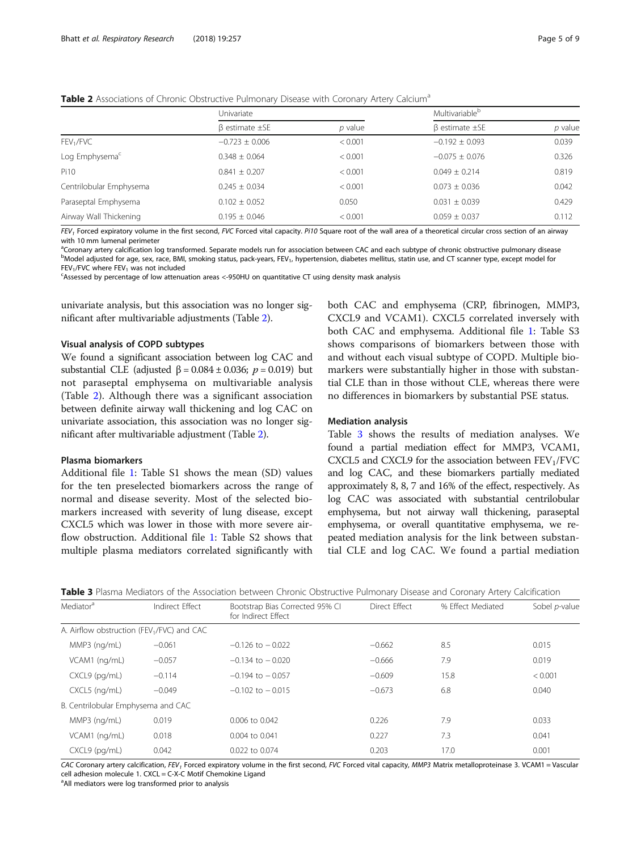<span id="page-4-0"></span>

|  |  |  |  | Table 2 Associations of Chronic Obstructive Pulmonary Disease with Coronary Artery Calcium <sup>a</sup> |
|--|--|--|--|---------------------------------------------------------------------------------------------------------|
|--|--|--|--|---------------------------------------------------------------------------------------------------------|

|                            | Univariate                |           | Multivariable <sup>b</sup> |         |
|----------------------------|---------------------------|-----------|----------------------------|---------|
|                            | $\beta$ estimate $\pm$ SE | $p$ value | $\beta$ estimate $\pm$ SE  | p value |
| FEV <sub>1</sub> /FVC      | $-0.723 \pm 0.006$        | < 0.001   | $-0.192 \pm 0.093$         | 0.039   |
| Log Emphysema <sup>c</sup> | $0.348 \pm 0.064$         | < 0.001   | $-0.075 \pm 0.076$         | 0.326   |
| Pi10                       | $0.841 \pm 0.207$         | < 0.001   | $0.049 \pm 0.214$          | 0.819   |
| Centrilobular Emphysema    | $0.245 \pm 0.034$         | < 0.001   | $0.073 \pm 0.036$          | 0.042   |
| Paraseptal Emphysema       | $0.102 \pm 0.052$         | 0.050     | $0.031 \pm 0.039$          | 0.429   |
| Airway Wall Thickening     | $0.195 \pm 0.046$         | < 0.001   | $0.059 \pm 0.037$          | 0.112   |

FEV<sub>1</sub> Forced expiratory volume in the first second, FVC Forced vital capacity. Pi10 Square root of the wall area of a theoretical circular cross section of an airway with 10 mm lumenal perimeter

a Coronary artery calcification log transformed. Separate models run for association between CAC and each subtype of chronic obstructive pulmonary disease between the coronary of the substantial service and the substantial <sup>b</sup>Model adjusted for age, sex, race, BMI, smoking status, pack-years, FEV<sub>1</sub>, hypertension, diabetes mellitus, statin use, and CT scanner type, except model for  $FEV<sub>1</sub>/FVC$  where  $FEV<sub>1</sub>$  was not included

Assessed by percentage of low attenuation areas <-950HU on quantitative CT using density mask analysis

univariate analysis, but this association was no longer significant after multivariable adjustments (Table 2).

## Visual analysis of COPD subtypes

We found a significant association between log CAC and substantial CLE (adjusted  $β = 0.084 ± 0.036$ ;  $p = 0.019$ ) but not paraseptal emphysema on multivariable analysis (Table 2). Although there was a significant association between definite airway wall thickening and log CAC on univariate association, this association was no longer significant after multivariable adjustment (Table 2).

## Plasma biomarkers

Additional file [1](#page-6-0): Table S1 shows the mean (SD) values for the ten preselected biomarkers across the range of normal and disease severity. Most of the selected biomarkers increased with severity of lung disease, except CXCL5 which was lower in those with more severe airflow obstruction. Additional file [1:](#page-6-0) Table S2 shows that multiple plasma mediators correlated significantly with both CAC and emphysema (CRP, fibrinogen, MMP3, CXCL9 and VCAM1). CXCL5 correlated inversely with both CAC and emphysema. Additional file [1:](#page-6-0) Table S3 shows comparisons of biomarkers between those with and without each visual subtype of COPD. Multiple biomarkers were substantially higher in those with substantial CLE than in those without CLE, whereas there were no differences in biomarkers by substantial PSE status.

#### Mediation analysis

Table 3 shows the results of mediation analyses. We found a partial mediation effect for MMP3, VCAM1, CXCL5 and CXCL9 for the association between  $FEV<sub>1</sub>/FVC$ and log CAC, and these biomarkers partially mediated approximately 8, 8, 7 and 16% of the effect, respectively. As log CAC was associated with substantial centrilobular emphysema, but not airway wall thickening, paraseptal emphysema, or overall quantitative emphysema, we repeated mediation analysis for the link between substantial CLE and log CAC. We found a partial mediation

| Mediator <sup>a</sup>                                  | Indirect Effect | Bootstrap Bias Corrected 95% CI<br>for Indirect Effect | Direct Effect | % Effect Mediated | Sobel p-value |
|--------------------------------------------------------|-----------------|--------------------------------------------------------|---------------|-------------------|---------------|
| A. Airflow obstruction (FEV <sub>1</sub> /FVC) and CAC |                 |                                                        |               |                   |               |
| MMP3 (ng/mL)                                           | $-0.061$        | $-0.126$ to $-0.022$                                   | $-0.662$      | 8.5               | 0.015         |
| VCAM1 (ng/mL)                                          | $-0.057$        | $-0.134$ to $-0.020$                                   | $-0.666$      | 7.9               | 0.019         |
| CXCL9 (pg/mL)                                          | $-0.114$        | $-0.194$ to $-0.057$                                   | $-0.609$      | 15.8              | < 0.001       |
| CXCL5 (ng/mL)                                          | $-0.049$        | $-0.102$ to $-0.015$                                   | $-0.673$      | 6.8               | 0.040         |
| B. Centrilobular Emphysema and CAC                     |                 |                                                        |               |                   |               |
| MMP3 (ng/mL)                                           | 0.019           | 0.006 to 0.042                                         | 0.226         | 7.9               | 0.033         |
| VCAM1 (ng/mL)                                          | 0.018           | 0.004 to 0.041                                         | 0.227         | 7.3               | 0.041         |
| CXCL9 (pg/mL)                                          | 0.042           | 0.022 to 0.074                                         | 0.203         | 17.0              | 0.001         |
|                                                        |                 |                                                        |               |                   |               |

CAC Coronary artery calcification, FEV<sub>1</sub> Forced expiratory volume in the first second, FVC Forced vital capacity, MMP3 Matrix metalloproteinase 3. VCAM1 = Vascular cell adhesion molecule 1. CXCL = C-X-C Motif Chemokine Ligand

<sup>a</sup>All mediators were log transformed prior to analysis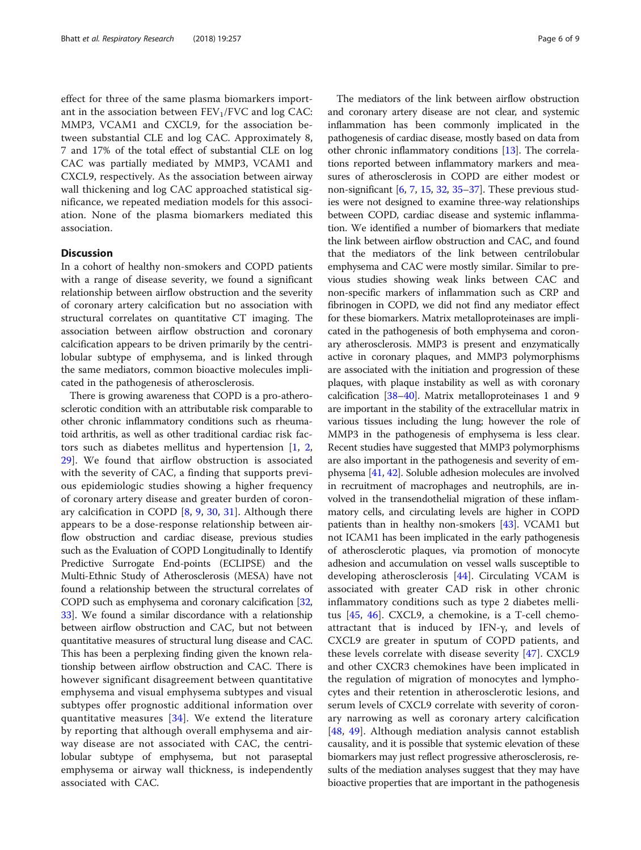effect for three of the same plasma biomarkers important in the association between  $FEV<sub>1</sub>/FVC$  and log CAC: MMP3, VCAM1 and CXCL9, for the association between substantial CLE and log CAC. Approximately 8, 7 and 17% of the total effect of substantial CLE on log CAC was partially mediated by MMP3, VCAM1 and CXCL9, respectively. As the association between airway wall thickening and log CAC approached statistical significance, we repeated mediation models for this association. None of the plasma biomarkers mediated this association.

## **Discussion**

In a cohort of healthy non-smokers and COPD patients with a range of disease severity, we found a significant relationship between airflow obstruction and the severity of coronary artery calcification but no association with structural correlates on quantitative CT imaging. The association between airflow obstruction and coronary calcification appears to be driven primarily by the centrilobular subtype of emphysema, and is linked through the same mediators, common bioactive molecules implicated in the pathogenesis of atherosclerosis.

There is growing awareness that COPD is a pro-atherosclerotic condition with an attributable risk comparable to other chronic inflammatory conditions such as rheumatoid arthritis, as well as other traditional cardiac risk factors such as diabetes mellitus and hypertension [[1,](#page-7-0) [2](#page-7-0), [29\]](#page-8-0). We found that airflow obstruction is associated with the severity of CAC, a finding that supports previous epidemiologic studies showing a higher frequency of coronary artery disease and greater burden of coronary calcification in COPD [\[8](#page-7-0), [9,](#page-7-0) [30](#page-8-0), [31\]](#page-8-0). Although there appears to be a dose-response relationship between airflow obstruction and cardiac disease, previous studies such as the Evaluation of COPD Longitudinally to Identify Predictive Surrogate End-points (ECLIPSE) and the Multi-Ethnic Study of Atherosclerosis (MESA) have not found a relationship between the structural correlates of COPD such as emphysema and coronary calcification [[32](#page-8-0), [33](#page-8-0)]. We found a similar discordance with a relationship between airflow obstruction and CAC, but not between quantitative measures of structural lung disease and CAC. This has been a perplexing finding given the known relationship between airflow obstruction and CAC. There is however significant disagreement between quantitative emphysema and visual emphysema subtypes and visual subtypes offer prognostic additional information over quantitative measures [[34\]](#page-8-0). We extend the literature by reporting that although overall emphysema and airway disease are not associated with CAC, the centrilobular subtype of emphysema, but not paraseptal emphysema or airway wall thickness, is independently associated with CAC.

The mediators of the link between airflow obstruction and coronary artery disease are not clear, and systemic inflammation has been commonly implicated in the pathogenesis of cardiac disease, mostly based on data from other chronic inflammatory conditions [\[13](#page-7-0)]. The correlations reported between inflammatory markers and measures of atherosclerosis in COPD are either modest or non-significant [[6,](#page-7-0) [7,](#page-7-0) [15,](#page-7-0) [32](#page-8-0), [35](#page-8-0)–[37\]](#page-8-0). These previous studies were not designed to examine three-way relationships between COPD, cardiac disease and systemic inflammation. We identified a number of biomarkers that mediate the link between airflow obstruction and CAC, and found that the mediators of the link between centrilobular emphysema and CAC were mostly similar. Similar to previous studies showing weak links between CAC and non-specific markers of inflammation such as CRP and fibrinogen in COPD, we did not find any mediator effect for these biomarkers. Matrix metalloproteinases are implicated in the pathogenesis of both emphysema and coronary atherosclerosis. MMP3 is present and enzymatically active in coronary plaques, and MMP3 polymorphisms are associated with the initiation and progression of these plaques, with plaque instability as well as with coronary calcification [[38](#page-8-0)–[40\]](#page-8-0). Matrix metalloproteinases 1 and 9 are important in the stability of the extracellular matrix in various tissues including the lung; however the role of MMP3 in the pathogenesis of emphysema is less clear. Recent studies have suggested that MMP3 polymorphisms are also important in the pathogenesis and severity of emphysema [\[41](#page-8-0), [42](#page-8-0)]. Soluble adhesion molecules are involved in recruitment of macrophages and neutrophils, are involved in the transendothelial migration of these inflammatory cells, and circulating levels are higher in COPD patients than in healthy non-smokers [[43](#page-8-0)]. VCAM1 but not ICAM1 has been implicated in the early pathogenesis of atherosclerotic plaques, via promotion of monocyte adhesion and accumulation on vessel walls susceptible to developing atherosclerosis [[44\]](#page-8-0). Circulating VCAM is associated with greater CAD risk in other chronic inflammatory conditions such as type 2 diabetes mellitus [[45,](#page-8-0) [46](#page-8-0)]. CXCL9, a chemokine, is a T-cell chemoattractant that is induced by IFN-γ, and levels of CXCL9 are greater in sputum of COPD patients, and these levels correlate with disease severity [[47\]](#page-8-0). CXCL9 and other CXCR3 chemokines have been implicated in the regulation of migration of monocytes and lymphocytes and their retention in atherosclerotic lesions, and serum levels of CXCL9 correlate with severity of coronary narrowing as well as coronary artery calcification [[48,](#page-8-0) [49](#page-8-0)]. Although mediation analysis cannot establish causality, and it is possible that systemic elevation of these biomarkers may just reflect progressive atherosclerosis, results of the mediation analyses suggest that they may have bioactive properties that are important in the pathogenesis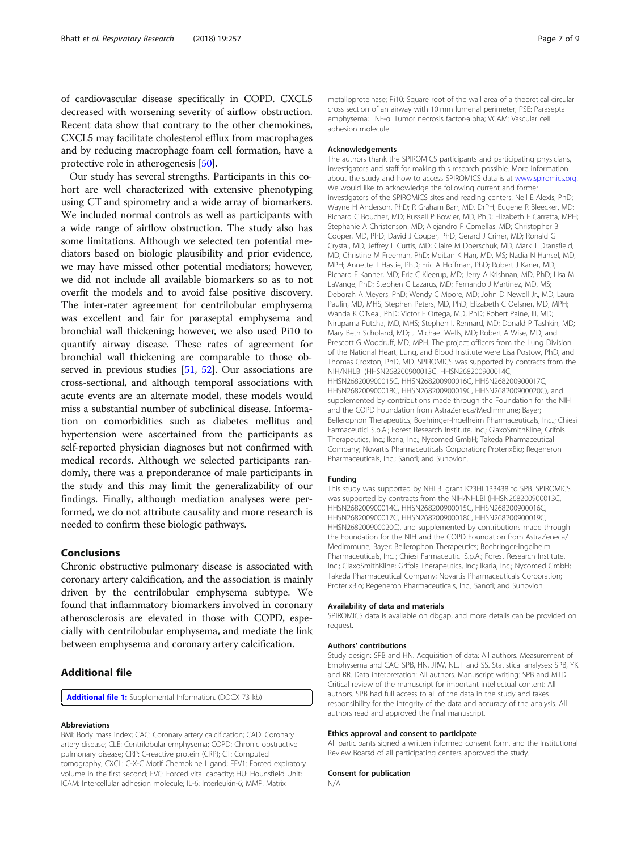<span id="page-6-0"></span>of cardiovascular disease specifically in COPD. CXCL5 decreased with worsening severity of airflow obstruction. Recent data show that contrary to the other chemokines, CXCL5 may facilitate cholesterol efflux from macrophages and by reducing macrophage foam cell formation, have a protective role in atherogenesis [\[50\]](#page-8-0).

Our study has several strengths. Participants in this cohort are well characterized with extensive phenotyping using CT and spirometry and a wide array of biomarkers. We included normal controls as well as participants with a wide range of airflow obstruction. The study also has some limitations. Although we selected ten potential mediators based on biologic plausibility and prior evidence, we may have missed other potential mediators; however, we did not include all available biomarkers so as to not overfit the models and to avoid false positive discovery. The inter-rater agreement for centrilobular emphysema was excellent and fair for paraseptal emphysema and bronchial wall thickening; however, we also used Pi10 to quantify airway disease. These rates of agreement for bronchial wall thickening are comparable to those ob-served in previous studies [\[51](#page-8-0), [52\]](#page-8-0). Our associations are cross-sectional, and although temporal associations with acute events are an alternate model, these models would miss a substantial number of subclinical disease. Information on comorbidities such as diabetes mellitus and hypertension were ascertained from the participants as self-reported physician diagnoses but not confirmed with medical records. Although we selected participants randomly, there was a preponderance of male participants in the study and this may limit the generalizability of our findings. Finally, although mediation analyses were performed, we do not attribute causality and more research is needed to confirm these biologic pathways.

## Conclusions

Chronic obstructive pulmonary disease is associated with coronary artery calcification, and the association is mainly driven by the centrilobular emphysema subtype. We found that inflammatory biomarkers involved in coronary atherosclerosis are elevated in those with COPD, especially with centrilobular emphysema, and mediate the link between emphysema and coronary artery calcification.

## Additional file

[Additional file 1:](https://doi.org/10.1186/s12931-018-0946-1) Supplemental Information. (DOCX 73 kb)

#### Abbreviations

BMI: Body mass index; CAC: Coronary artery calcification; CAD: Coronary artery disease; CLE: Centrilobular emphysema; COPD: Chronic obstructive pulmonary disease; CRP: C-reactive protein (CRP); CT: Computed tomography; CXCL: C-X-C Motif Chemokine Ligand; FEV1: Forced expiratory volume in the first second; FVC: Forced vital capacity; HU: Hounsfield Unit; ICAM: Intercellular adhesion molecule; IL-6: Interleukin-6; MMP: Matrix

metalloproteinase; Pi10: Square root of the wall area of a theoretical circular cross section of an airway with 10 mm lumenal perimeter; PSE: Paraseptal emphysema; TNF-α: Tumor necrosis factor-alpha; VCAM: Vascular cell adhesion molecule

#### Acknowledgements

The authors thank the SPIROMICS participants and participating physicians, investigators and staff for making this research possible. More information about the study and how to access SPIROMICS data is at [www.spiromics.org.](http://www.spiromics.org) We would like to acknowledge the following current and former investigators of the SPIROMICS sites and reading centers: Neil E Alexis, PhD; Wayne H Anderson, PhD; R Graham Barr, MD, DrPH; Eugene R Bleecker, MD; Richard C Boucher, MD; Russell P Bowler, MD, PhD; Elizabeth E Carretta, MPH; Stephanie A Christenson, MD; Alejandro P Comellas, MD; Christopher B Cooper, MD, PhD; David J Couper, PhD; Gerard J Criner, MD; Ronald G Crystal, MD; Jeffrey L Curtis, MD; Claire M Doerschuk, MD; Mark T Dransfield, MD; Christine M Freeman, PhD; MeiLan K Han, MD, MS; Nadia N Hansel, MD, MPH; Annette T Hastie, PhD; Eric A Hoffman, PhD; Robert J Kaner, MD; Richard E Kanner, MD; Eric C Kleerup, MD; Jerry A Krishnan, MD, PhD; Lisa M LaVange, PhD; Stephen C Lazarus, MD; Fernando J Martinez, MD, MS; Deborah A Meyers, PhD; Wendy C Moore, MD; John D Newell Jr., MD; Laura Paulin, MD, MHS; Stephen Peters, MD, PhD; Elizabeth C Oelsner, MD, MPH; Wanda K O'Neal, PhD; Victor E Ortega, MD, PhD; Robert Paine, III, MD; Nirupama Putcha, MD, MHS; Stephen I. Rennard, MD; Donald P Tashkin, MD; Mary Beth Scholand, MD; J Michael Wells, MD; Robert A Wise, MD; and Prescott G Woodruff, MD, MPH. The project officers from the Lung Division of the National Heart, Lung, and Blood Institute were Lisa Postow, PhD, and Thomas Croxton, PhD, MD. SPIROMICS was supported by contracts from the NIH/NHLBI (HHSN268200900013C, HHSN268200900014C, HHSN268200900015C, HHSN268200900016C, HHSN268200900017C, HHSN268200900018C, HHSN268200900019C, HHSN268200900020C), and supplemented by contributions made through the Foundation for the NIH and the COPD Foundation from AstraZeneca/MedImmune; Bayer; Bellerophon Therapeutics; Boehringer-Ingelheim Pharmaceuticals, Inc..; Chiesi Farmaceutici S.p.A.; Forest Research Institute, Inc.; GlaxoSmithKline; Grifols Therapeutics, Inc.; Ikaria, Inc.; Nycomed GmbH; Takeda Pharmaceutical Company; Novartis Pharmaceuticals Corporation; ProterixBio; Regeneron Pharmaceuticals, Inc.; Sanofi; and Sunovion.

#### Funding

This study was supported by NHLBI grant K23HL133438 to SPB. SPIROMICS was supported by contracts from the NIH/NHLBI (HHSN268200900013C, HHSN268200900014C, HHSN268200900015C, HHSN268200900016C, HHSN268200900017C, HHSN268200900018C, HHSN268200900019C, HHSN268200900020C), and supplemented by contributions made through the Foundation for the NIH and the COPD Foundation from AstraZeneca/ MedImmune; Bayer; Bellerophon Therapeutics; Boehringer-Ingelheim Pharmaceuticals, Inc..; Chiesi Farmaceutici S.p.A.; Forest Research Institute, Inc.; GlaxoSmithKline; Grifols Therapeutics, Inc.; Ikaria, Inc.; Nycomed GmbH; Takeda Pharmaceutical Company; Novartis Pharmaceuticals Corporation; ProterixBio; Regeneron Pharmaceuticals, Inc.; Sanofi; and Sunovion.

#### Availability of data and materials

SPIROMICS data is available on dbgap, and more details can be provided on request.

#### Authors' contributions

Study design: SPB and HN. Acquisition of data: All authors. Measurement of Emphysema and CAC: SPB, HN, JRW, NLJT and SS. Statistical analyses: SPB, YK and RR. Data interpretation: All authors. Manuscript writing: SPB and MTD. Critical review of the manuscript for important intellectual content: All authors. SPB had full access to all of the data in the study and takes responsibility for the integrity of the data and accuracy of the analysis. All authors read and approved the final manuscript.

#### Ethics approval and consent to participate

All participants signed a written informed consent form, and the Institutional Review Boarsd of all participating centers approved the study.

#### Consent for publication

N/A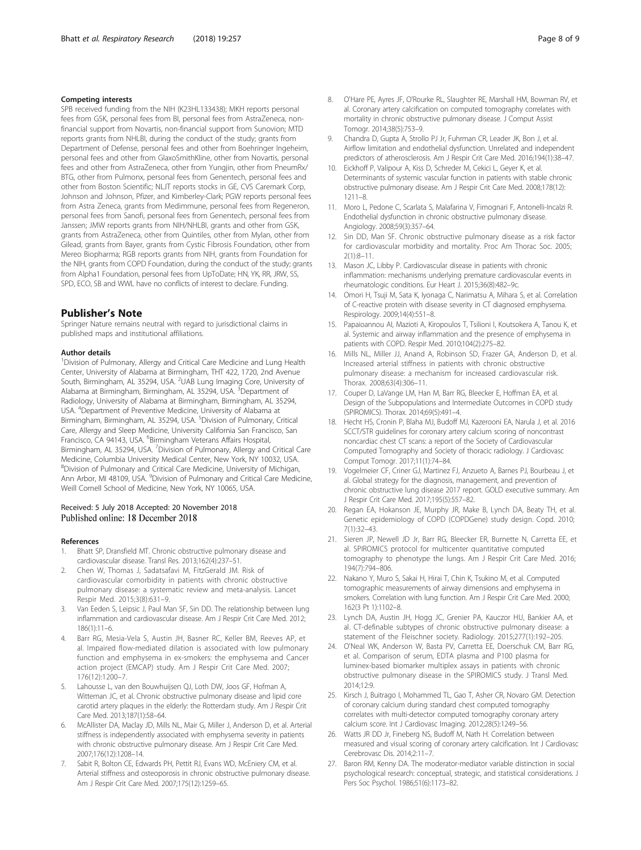#### <span id="page-7-0"></span>Competing interests

SPB received funding from the NIH (K23HL133438); MKH reports personal fees from GSK, personal fees from BI, personal fees from AstraZeneca, nonfinancial support from Novartis, non-financial support from Sunovion; MTD reports grants from NHLBI, during the conduct of the study; grants from Department of Defense, personal fees and other from Boehringer Ingeheim, personal fees and other from GlaxoSmithKline, other from Novartis, personal fees and other from AstraZeneca, other from Yungjin, other from PneumRx/ BTG, other from Pulmonx, personal fees from Genentech, personal fees and other from Boston Scientific; NLJT reports stocks in GE, CVS Caremark Corp, Johnson and Johnson, Pfizer, and Kimberley-Clark; PGW reports personal fees from Astra Zeneca, grants from Medimmune, personal fees from Regeneron, personal fees from Sanofi, personal fees from Genentech, personal fees from Janssen; JMW reports grants from NIH/NHLBI, grants and other from GSK, grants from AstraZeneca, other from Quintiles, other from Mylan, other from Gilead, grants from Bayer, grants from Cystic Fibrosis Foundation, other from Mereo Biopharma; RGB reports grants from NIH, grants from Foundation for the NIH, grants from COPD Foundation, during the conduct of the study; grants from Alpha1 Foundation, personal fees from UpToDate; HN, YK, RR, JRW, SS, SPD, ECO, SB and WWL have no conflicts of interest to declare. Funding.

## Publisher's Note

Springer Nature remains neutral with regard to jurisdictional claims in published maps and institutional affiliations.

#### Author details

<sup>1</sup> Division of Pulmonary, Allergy and Critical Care Medicine and Lung Health Center, University of Alabama at Birmingham, THT 422, 1720, 2nd Avenue South, Birmingham, AL 35294, USA. <sup>2</sup>UAB Lung Imaging Core, University of Alabama at Birmingham, Birmingham, AL 35294, USA. <sup>3</sup>Department of Radiology, University of Alabama at Birmingham, Birmingham, AL 35294, USA. <sup>4</sup> Department of Preventive Medicine, University of Alabama at Birmingham, Birmingham, AL 35294, USA. <sup>5</sup>Division of Pulmonary, Critical Care, Allergy and Sleep Medicine, University California San Francisco, San Francisco, CA 94143, USA. <sup>6</sup>Birmingham Veterans Affairs Hospital, Birmingham, AL 35294, USA. <sup>7</sup>Division of Pulmonary, Allergy and Critical Care Medicine, Columbia University Medical Center, New York, NY 10032, USA. 8 Division of Pulmonary and Critical Care Medicine, University of Michigan, Ann Arbor, MI 48109, USA. <sup>9</sup> Division of Pulmonary and Critical Care Medicine, Weill Cornell School of Medicine, New York, NY 10065, USA.

#### Received: 5 July 2018 Accepted: 20 November 2018 Published online: 18 December 2018

#### References

- 1. Bhatt SP, Dransfield MT. Chronic obstructive pulmonary disease and cardiovascular disease. Transl Res. 2013;162(4):237–51.
- 2. Chen W, Thomas J, Sadatsafavi M, FitzGerald JM. Risk of cardiovascular comorbidity in patients with chronic obstructive pulmonary disease: a systematic review and meta-analysis. Lancet Respir Med. 2015;3(8):631–9.
- Van Eeden S, Leipsic J, Paul Man SF, Sin DD. The relationship between lung inflammation and cardiovascular disease. Am J Respir Crit Care Med. 2012; 186(1):11–6.
- 4. Barr RG, Mesia-Vela S, Austin JH, Basner RC, Keller BM, Reeves AP, et al. Impaired flow-mediated dilation is associated with low pulmonary function and emphysema in ex-smokers: the emphysema and Cancer action project (EMCAP) study. Am J Respir Crit Care Med. 2007; 176(12):1200–7.
- Lahousse L, van den Bouwhuijsen QJ, Loth DW, Joos GF, Hofman A, Witteman JC, et al. Chronic obstructive pulmonary disease and lipid core carotid artery plaques in the elderly: the Rotterdam study. Am J Respir Crit Care Med. 2013;187(1):58–64.
- 6. McAllister DA, Maclay JD, Mills NL, Mair G, Miller J, Anderson D, et al. Arterial stiffness is independently associated with emphysema severity in patients with chronic obstructive pulmonary disease. Am J Respir Crit Care Med. 2007;176(12):1208–14.
- Sabit R, Bolton CE, Edwards PH, Pettit RJ, Evans WD, McEniery CM, et al. Arterial stiffness and osteoporosis in chronic obstructive pulmonary disease. Am J Respir Crit Care Med. 2007;175(12):1259–65.
- 8. O'Hare PE, Ayres JF, O'Rourke RL, Slaughter RE, Marshall HM, Bowman RV, et al. Coronary artery calcification on computed tomography correlates with mortality in chronic obstructive pulmonary disease. J Comput Assist Tomogr. 2014;38(5):753–9.
- 9. Chandra D, Gupta A, Strollo PJ Jr, Fuhrman CR, Leader JK, Bon J, et al. Airflow limitation and endothelial dysfunction. Unrelated and independent predictors of atherosclerosis. Am J Respir Crit Care Med. 2016;194(1):38–47.
- 10. Eickhoff P, Valipour A, Kiss D, Schreder M, Cekici L, Geyer K, et al. Determinants of systemic vascular function in patients with stable chronic obstructive pulmonary disease. Am J Respir Crit Care Med. 2008;178(12): 1211–8.
- 11. Moro L, Pedone C, Scarlata S, Malafarina V, Fimognari F, Antonelli-Incalzi R. Endothelial dysfunction in chronic obstructive pulmonary disease. Angiology. 2008;59(3):357–64.
- 12. Sin DD, Man SF. Chronic obstructive pulmonary disease as a risk factor for cardiovascular morbidity and mortality. Proc Am Thorac Soc. 2005;  $2(1):8-11$
- 13. Mason JC, Libby P. Cardiovascular disease in patients with chronic inflammation: mechanisms underlying premature cardiovascular events in rheumatologic conditions. Eur Heart J. 2015;36(8):482–9c.
- 14. Omori H, Tsuji M, Sata K, Iyonaga C, Narimatsu A, Mihara S, et al. Correlation of C-reactive protein with disease severity in CT diagnosed emphysema. Respirology. 2009;14(4):551–8.
- 15. Papaioannou AI, Mazioti A, Kiropoulos T, Tsilioni I, Koutsokera A, Tanou K, et al. Systemic and airway inflammation and the presence of emphysema in patients with COPD. Respir Med. 2010;104(2):275–82.
- 16. Mills NL, Miller JJ, Anand A, Robinson SD, Frazer GA, Anderson D, et al. Increased arterial stiffness in patients with chronic obstructive pulmonary disease: a mechanism for increased cardiovascular risk. Thorax. 2008;63(4):306–11.
- 17. Couper D, LaVange LM, Han M, Barr RG, Bleecker E, Hoffman EA, et al. Design of the Subpopulations and Intermediate Outcomes in COPD study (SPIROMICS). Thorax. 2014;69(5):491–4.
- 18. Hecht HS, Cronin P, Blaha MJ, Budoff MJ, Kazerooni EA, Narula J, et al. 2016 SCCT/STR guidelines for coronary artery calcium scoring of noncontrast noncardiac chest CT scans: a report of the Society of Cardiovascular Computed Tomography and Society of thoracic radiology. J Cardiovasc Comput Tomogr. 2017;11(1):74–84.
- 19. Vogelmeier CF, Criner GJ, Martinez FJ, Anzueto A, Barnes PJ, Bourbeau J, et al. Global strategy for the diagnosis, management, and prevention of chronic obstructive lung disease 2017 report. GOLD executive summary. Am J Respir Crit Care Med. 2017;195(5):557–82.
- 20. Regan EA, Hokanson JE, Murphy JR, Make B, Lynch DA, Beaty TH, et al. Genetic epidemiology of COPD (COPDGene) study design. Copd. 2010; 7(1):32–43.
- 21. Sieren JP, Newell JD Jr, Barr RG, Bleecker ER, Burnette N, Carretta EE, et al. SPIROMICS protocol for multicenter quantitative computed tomography to phenotype the lungs. Am J Respir Crit Care Med. 2016; 194(7):794–806.
- 22. Nakano Y, Muro S, Sakai H, Hirai T, Chin K, Tsukino M, et al. Computed tomographic measurements of airway dimensions and emphysema in smokers. Correlation with lung function. Am J Respir Crit Care Med. 2000; 162(3 Pt 1):1102–8.
- 23. Lynch DA, Austin JH, Hogg JC, Grenier PA, Kauczor HU, Bankier AA, et al. CT-definable subtypes of chronic obstructive pulmonary disease: a statement of the Fleischner society. Radiology. 2015;277(1):192–205.
- 24. O'Neal WK, Anderson W, Basta PV, Carretta EE, Doerschuk CM, Barr RG, et al. Comparison of serum, EDTA plasma and P100 plasma for luminex-based biomarker multiplex assays in patients with chronic obstructive pulmonary disease in the SPIROMICS study. J Transl Med. 2014;12:9.
- 25. Kirsch J, Buitrago I, Mohammed TL, Gao T, Asher CR, Novaro GM. Detection of coronary calcium during standard chest computed tomography correlates with multi-detector computed tomography coronary artery calcium score. Int J Cardiovasc Imaging. 2012;28(5):1249–56.
- 26. Watts JR DD Jr, Fineberg NS, Budoff M, Nath H. Correlation between measured and visual scoring of coronary artery calcification. Int J Cardiovasc Cerebrovasc Dis. 2014;2:11–7.
- 27. Baron RM, Kenny DA. The moderator-mediator variable distinction in social psychological research: conceptual, strategic, and statistical considerations. J Pers Soc Psychol. 1986;51(6):1173–82.